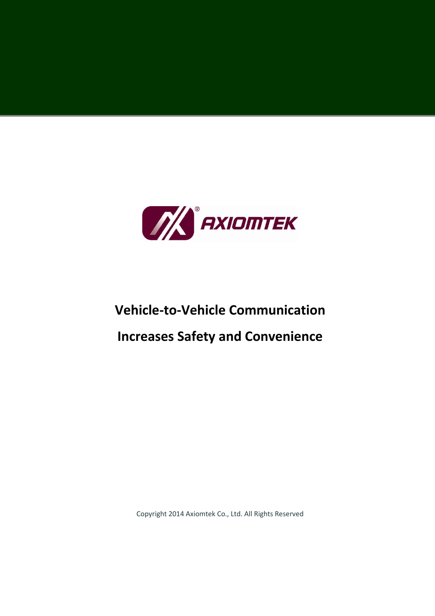

# **Vehicle-to-Vehicle Communication Increases Safety and Convenience**

Copyright 2014 Axiomtek Co., Ltd. All Rights Reserved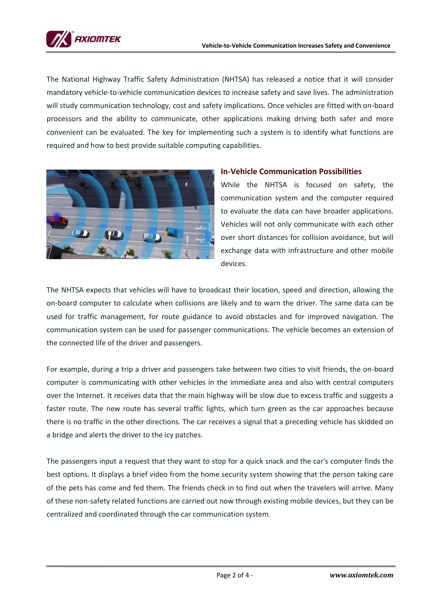

The National Highway Traffic Safety Administration (NHTSA) has released a notice that it will consider mandatory vehicle-to-vehicle communication devices to increase safety and save lives. The administration will study communication technology, cost and safety implications. Once vehicles are fitted with on-board processors and the ability to communicate, other applications making driving both safer and more convenient can be evaluated. The key for implementing such a system is to identify what functions are required and how to best provide suitable computing capabilities.



# **In-Vehicle Communication Possibilities**

While the NHTSA is focused on safety, the communication system and the computer required to evaluate the data can have broader applications. Vehicles will not only communicate with each other over short distances for collision avoidance, but will exchange data with infrastructure and other mobile devices.

The NHTSA expects that vehicles will have to broadcast their location, speed and direction, allowing the on-board computer to calculate when collisions are likely and to warn the driver. The same data can be used for traffic management, for route guidance to avoid obstacles and for improved navigation. The communication system can be used for passenger communications. The vehicle becomes an extension of the connected life of the driver and passengers.

For example, during a trip a driver and passengers take between two cities to visit friends, the on-board computer is communicating with other vehicles in the immediate area and also with central computers over the Internet. It receives data that the main highway will be slow due to excess traffic and suggests a faster route. The new route has several traffic lights, which turn green as the car approaches because there is no traffic in the other directions. The car receives a signal that a preceding vehicle has skidded on a bridge and alerts the driver to the icy patches.

The passengers input a request that they want to stop for a quick snack and the car's computer finds the best options. It displays a brief video from the home security system showing that the person taking care of the pets has come and fed them. The friends check in to find out when the travelers will arrive. Many of these non-safety related functions are carried out now through existing mobile devices, but they can be centralized and coordinated through the car communication system.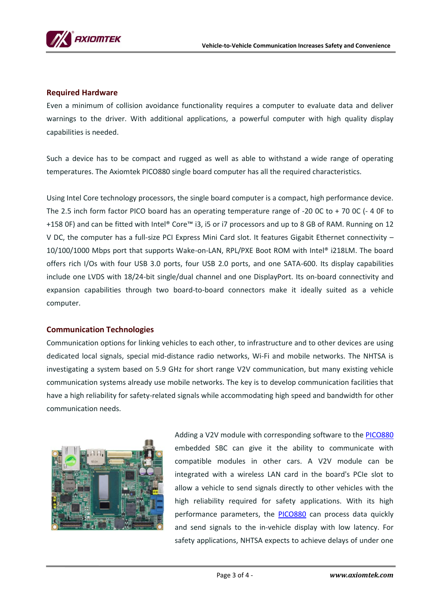

#### **Required Hardware**

Even a minimum of collision avoidance functionality requires a computer to evaluate data and deliver warnings to the driver. With additional applications, a powerful computer with high quality display capabilities is needed.

Such a device has to be compact and rugged as well as able to withstand a wide range of operating temperatures. The Axiomtek PICO880 single board computer has all the required characteristics.

Using Intel Core technology processors, the single board computer is a compact, high performance device. The 2.5 inch form factor PICO board has an operating temperature range of -20 0C to + 70 0C (- 4 0F to +158 0F) and can be fitted with Intel® Core™ i3, i5 or i7 processors and up to 8 GB of RAM. Running on 12 V DC, the computer has a full-size PCI Express Mini Card slot. It features Gigabit Ethernet connectivity – 10/100/1000 Mbps port that supports Wake-on-LAN, RPL/PXE Boot ROM with Intel® i218LM. The board offers rich I/Os with four USB 3.0 ports, four USB 2.0 ports, and one SATA-600. Its display capabilities include one LVDS with 18/24-bit single/dual channel and one DisplayPort. Its on-board connectivity and expansion capabilities through two board-to-board connectors make it ideally suited as a vehicle computer.

## **Communication Technologies**

Communication options for linking vehicles to each other, to infrastructure and to other devices are using dedicated local signals, special mid-distance radio networks, Wi-Fi and mobile networks. The NHTSA is investigating a system based on 5.9 GHz for short range V2V communication, but many existing vehicle communication systems already use mobile networks. The key is to develop communication facilities that have a high reliability for safety-related signals while accommodating high speed and bandwidth for other communication needs.



Adding a V2V module with corresponding software to the [PICO880](http://www.axiomtek.com/Default.aspx?MenuId=Products&FunctionId=ProductView&ItemId=1105) embedded SBC can give it the ability to communicate with compatible modules in other cars. A V2V module can be integrated with a wireless LAN card in the board's PCIe slot to allow a vehicle to send signals directly to other vehicles with the high reliability required for safety applications. With its high performance parameters, the [PICO880](http://www.axiomtek.com/Default.aspx?MenuId=Products&FunctionId=ProductView&ItemId=1105) can process data quickly and send signals to the in-vehicle display with low latency. For safety applications, NHTSA expects to achieve delays of under one